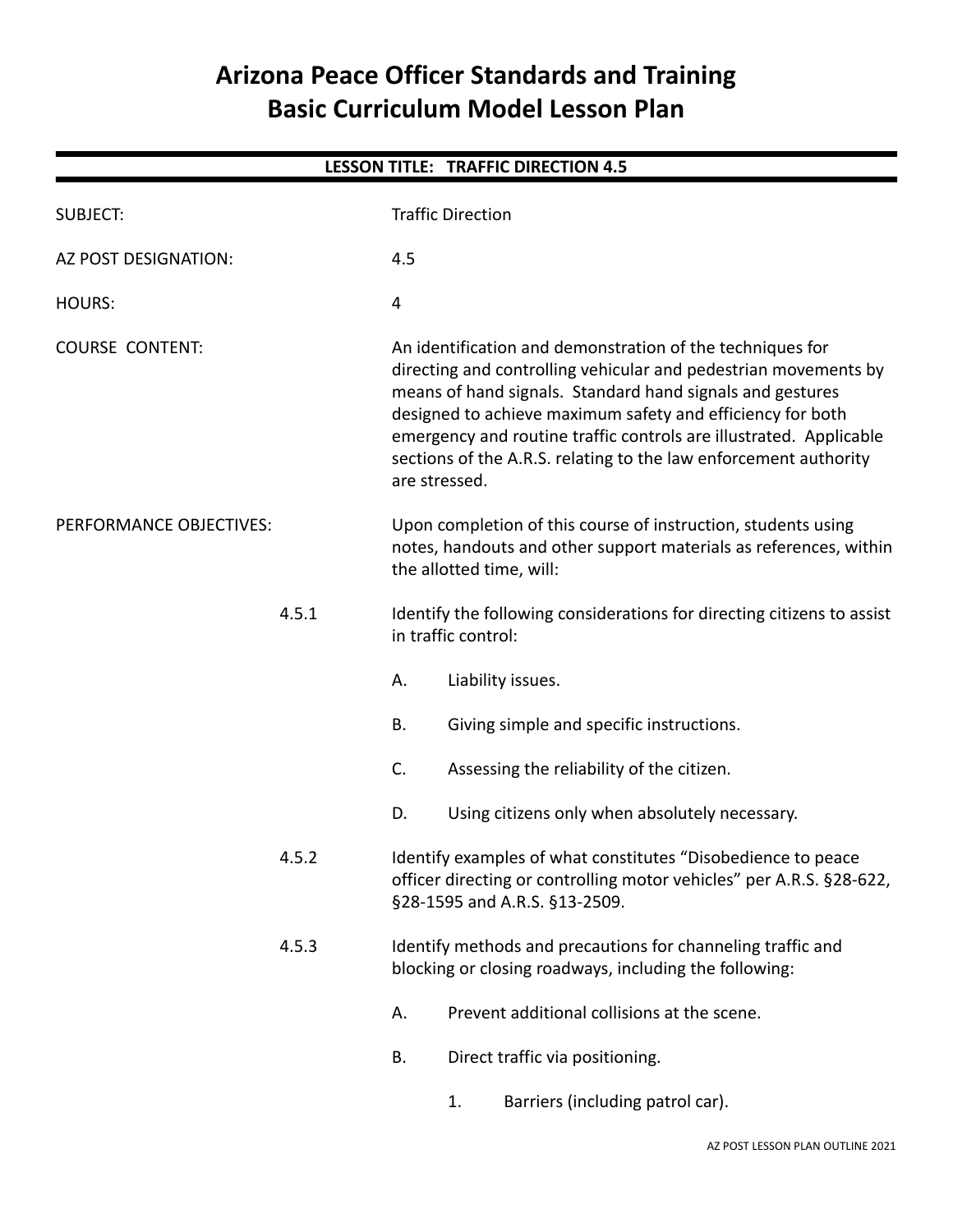# **Arizona Peace Officer Standards and Training Basic Curriculum Model Lesson Plan**

| <b>LESSON TITLE: TRAFFIC DIRECTION 4.5</b> |       |                                                                                                                                                                |                          |                                                                                                                                                                                                                                                                                                                                                                                                   |  |  |  |
|--------------------------------------------|-------|----------------------------------------------------------------------------------------------------------------------------------------------------------------|--------------------------|---------------------------------------------------------------------------------------------------------------------------------------------------------------------------------------------------------------------------------------------------------------------------------------------------------------------------------------------------------------------------------------------------|--|--|--|
| <b>SUBJECT:</b>                            |       |                                                                                                                                                                | <b>Traffic Direction</b> |                                                                                                                                                                                                                                                                                                                                                                                                   |  |  |  |
| AZ POST DESIGNATION:                       |       | 4.5                                                                                                                                                            |                          |                                                                                                                                                                                                                                                                                                                                                                                                   |  |  |  |
| <b>HOURS:</b>                              |       | $\overline{4}$                                                                                                                                                 |                          |                                                                                                                                                                                                                                                                                                                                                                                                   |  |  |  |
| <b>COURSE CONTENT:</b>                     |       | are stressed.                                                                                                                                                  |                          | An identification and demonstration of the techniques for<br>directing and controlling vehicular and pedestrian movements by<br>means of hand signals. Standard hand signals and gestures<br>designed to achieve maximum safety and efficiency for both<br>emergency and routine traffic controls are illustrated. Applicable<br>sections of the A.R.S. relating to the law enforcement authority |  |  |  |
| PERFORMANCE OBJECTIVES:<br>4.5.1           |       | Upon completion of this course of instruction, students using<br>notes, handouts and other support materials as references, within<br>the allotted time, will: |                          |                                                                                                                                                                                                                                                                                                                                                                                                   |  |  |  |
|                                            |       |                                                                                                                                                                | in traffic control:      | Identify the following considerations for directing citizens to assist                                                                                                                                                                                                                                                                                                                            |  |  |  |
|                                            |       | Α.                                                                                                                                                             |                          | Liability issues.                                                                                                                                                                                                                                                                                                                                                                                 |  |  |  |
|                                            |       | <b>B.</b>                                                                                                                                                      |                          | Giving simple and specific instructions.                                                                                                                                                                                                                                                                                                                                                          |  |  |  |
|                                            |       | C.                                                                                                                                                             |                          | Assessing the reliability of the citizen.                                                                                                                                                                                                                                                                                                                                                         |  |  |  |
|                                            |       | D.                                                                                                                                                             |                          | Using citizens only when absolutely necessary.                                                                                                                                                                                                                                                                                                                                                    |  |  |  |
| 4.5.2                                      |       |                                                                                                                                                                |                          | Identify examples of what constitutes "Disobedience to peace<br>officer directing or controlling motor vehicles" per A.R.S. §28-622,<br>§28-1595 and A.R.S. §13-2509.                                                                                                                                                                                                                             |  |  |  |
|                                            | 4.5.3 |                                                                                                                                                                |                          | Identify methods and precautions for channeling traffic and<br>blocking or closing roadways, including the following:                                                                                                                                                                                                                                                                             |  |  |  |
|                                            |       | А.                                                                                                                                                             |                          | Prevent additional collisions at the scene.                                                                                                                                                                                                                                                                                                                                                       |  |  |  |
|                                            |       | <b>B.</b>                                                                                                                                                      |                          | Direct traffic via positioning.                                                                                                                                                                                                                                                                                                                                                                   |  |  |  |
|                                            |       |                                                                                                                                                                | 1.                       | Barriers (including patrol car).                                                                                                                                                                                                                                                                                                                                                                  |  |  |  |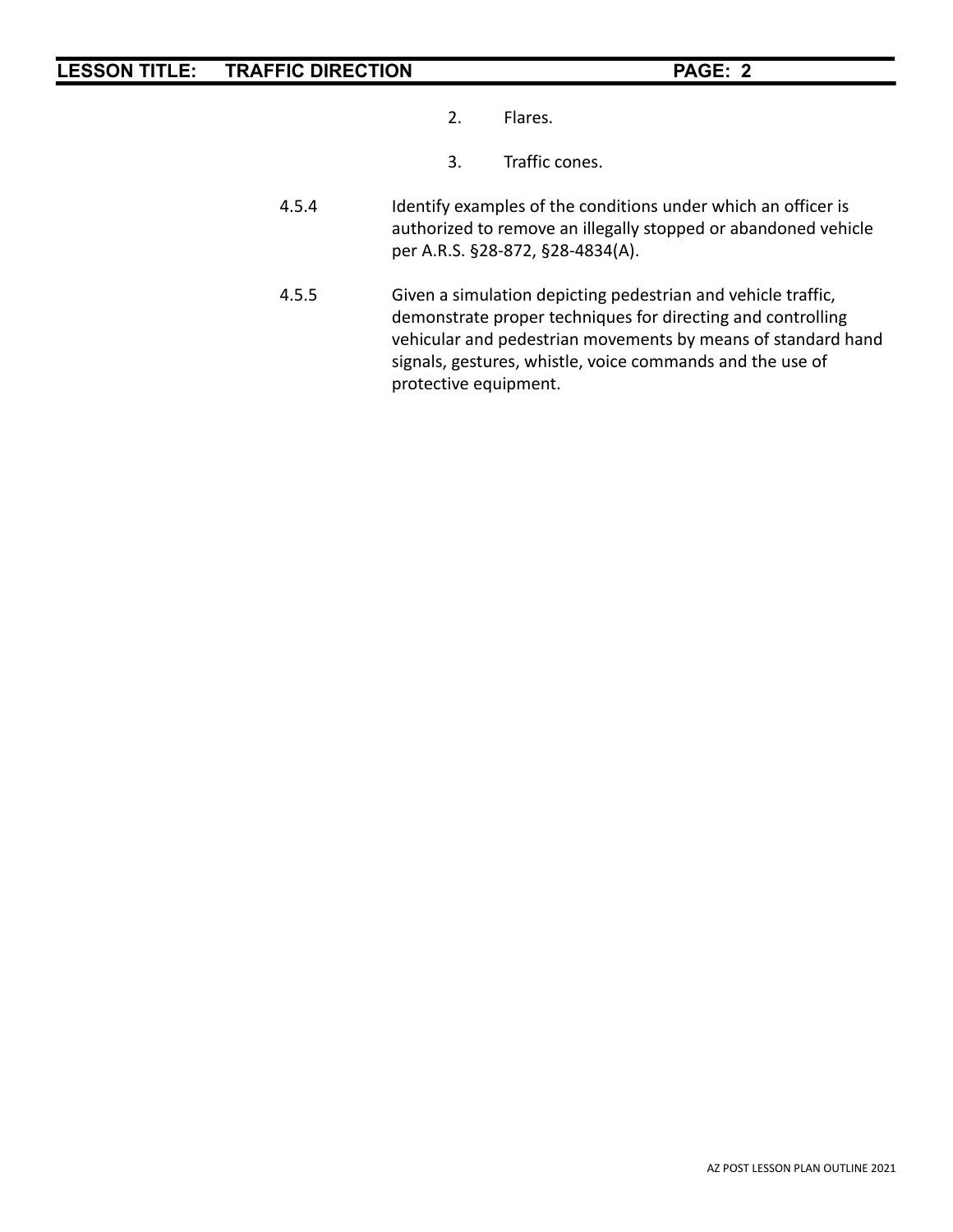- 2. Flares.
- 3. Traffic cones.
- 4.5.4 Identify examples of the conditions under which an officer is authorized to remove an illegally stopped or abandoned vehicle per A.R.S. §28-872, §28-4834(A).
- 4.5.5 Given a simulation depicting pedestrian and vehicle traffic, demonstrate proper techniques for directing and controlling vehicular and pedestrian movements by means of standard hand signals, gestures, whistle, voice commands and the use of protective equipment.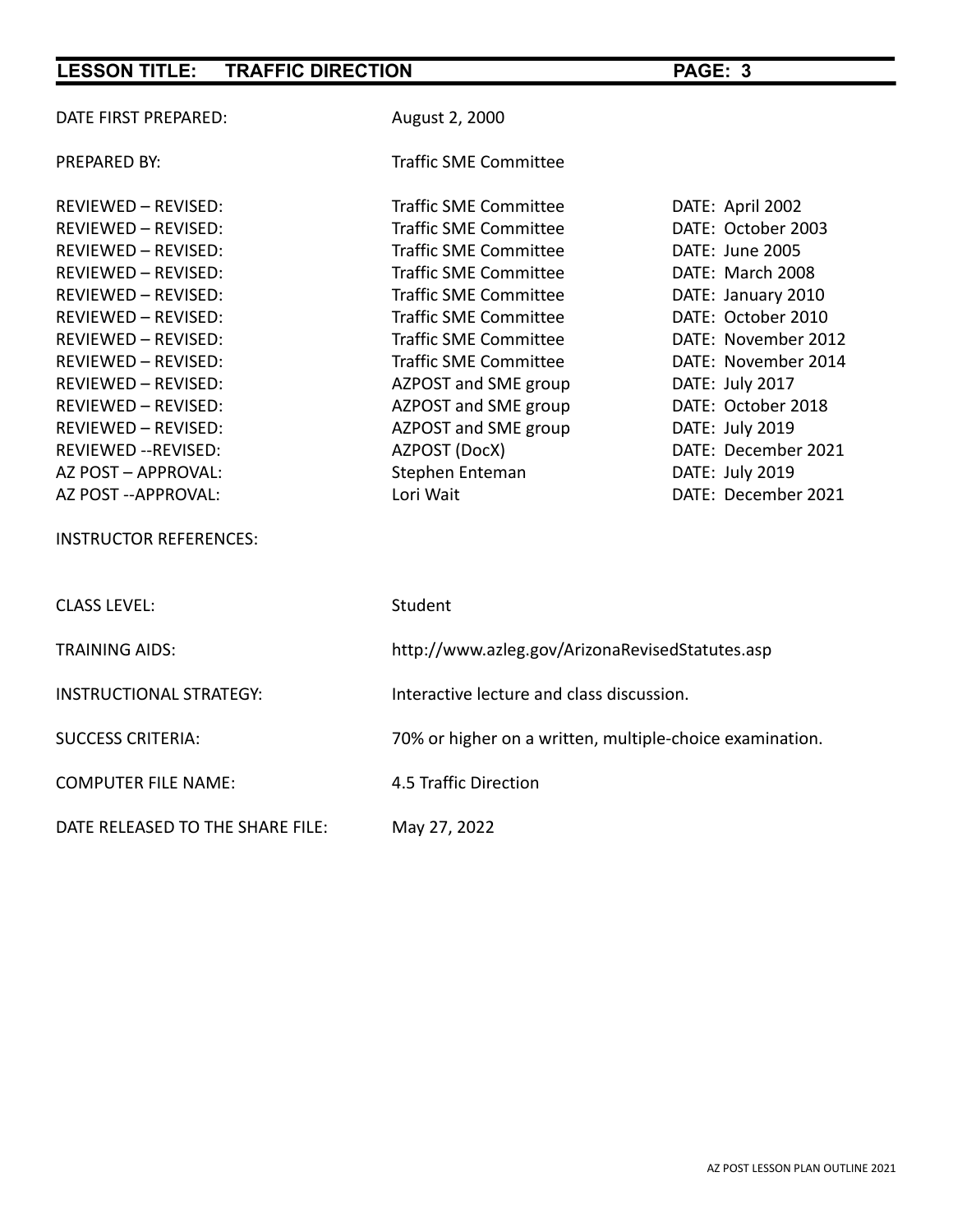| DATE FIRST PREPARED:           | August 2, 2000                                           |                     |  |  |
|--------------------------------|----------------------------------------------------------|---------------------|--|--|
| <b>PREPARED BY:</b>            | <b>Traffic SME Committee</b>                             |                     |  |  |
| <b>REVIEWED - REVISED:</b>     | <b>Traffic SME Committee</b>                             | DATE: April 2002    |  |  |
| REVIEWED - REVISED:            | <b>Traffic SME Committee</b>                             | DATE: October 2003  |  |  |
| REVIEWED - REVISED:            | <b>Traffic SME Committee</b>                             | DATE: June 2005     |  |  |
| <b>REVIEWED - REVISED:</b>     | <b>Traffic SME Committee</b>                             | DATE: March 2008    |  |  |
| <b>REVIEWED - REVISED:</b>     | <b>Traffic SME Committee</b>                             | DATE: January 2010  |  |  |
| REVIEWED - REVISED:            | <b>Traffic SME Committee</b>                             | DATE: October 2010  |  |  |
| <b>REVIEWED - REVISED:</b>     | <b>Traffic SME Committee</b>                             | DATE: November 2012 |  |  |
| <b>REVIEWED - REVISED:</b>     | <b>Traffic SME Committee</b>                             | DATE: November 2014 |  |  |
| REVIEWED - REVISED:            | AZPOST and SME group                                     | DATE: July 2017     |  |  |
| REVIEWED - REVISED:            | AZPOST and SME group                                     | DATE: October 2018  |  |  |
| REVIEWED - REVISED:            | AZPOST and SME group                                     | DATE: July 2019     |  |  |
| REVIEWED -- REVISED:           | AZPOST (DocX)                                            | DATE: December 2021 |  |  |
| AZ POST - APPROVAL:            | Stephen Enteman                                          | DATE: July 2019     |  |  |
| AZ POST -- APPROVAL:           | Lori Wait                                                | DATE: December 2021 |  |  |
| <b>INSTRUCTOR REFERENCES:</b>  |                                                          |                     |  |  |
| <b>CLASS LEVEL:</b>            | Student                                                  |                     |  |  |
| <b>TRAINING AIDS:</b>          | http://www.azleg.gov/ArizonaRevisedStatutes.asp          |                     |  |  |
| <b>INSTRUCTIONAL STRATEGY:</b> | Interactive lecture and class discussion.                |                     |  |  |
| <b>SUCCESS CRITERIA:</b>       | 70% or higher on a written, multiple-choice examination. |                     |  |  |
| <b>COMPUTER FILE NAME:</b>     | 4.5 Traffic Direction                                    |                     |  |  |
|                                |                                                          |                     |  |  |

DATE RELEASED TO THE SHARE FILE: May 27, 2022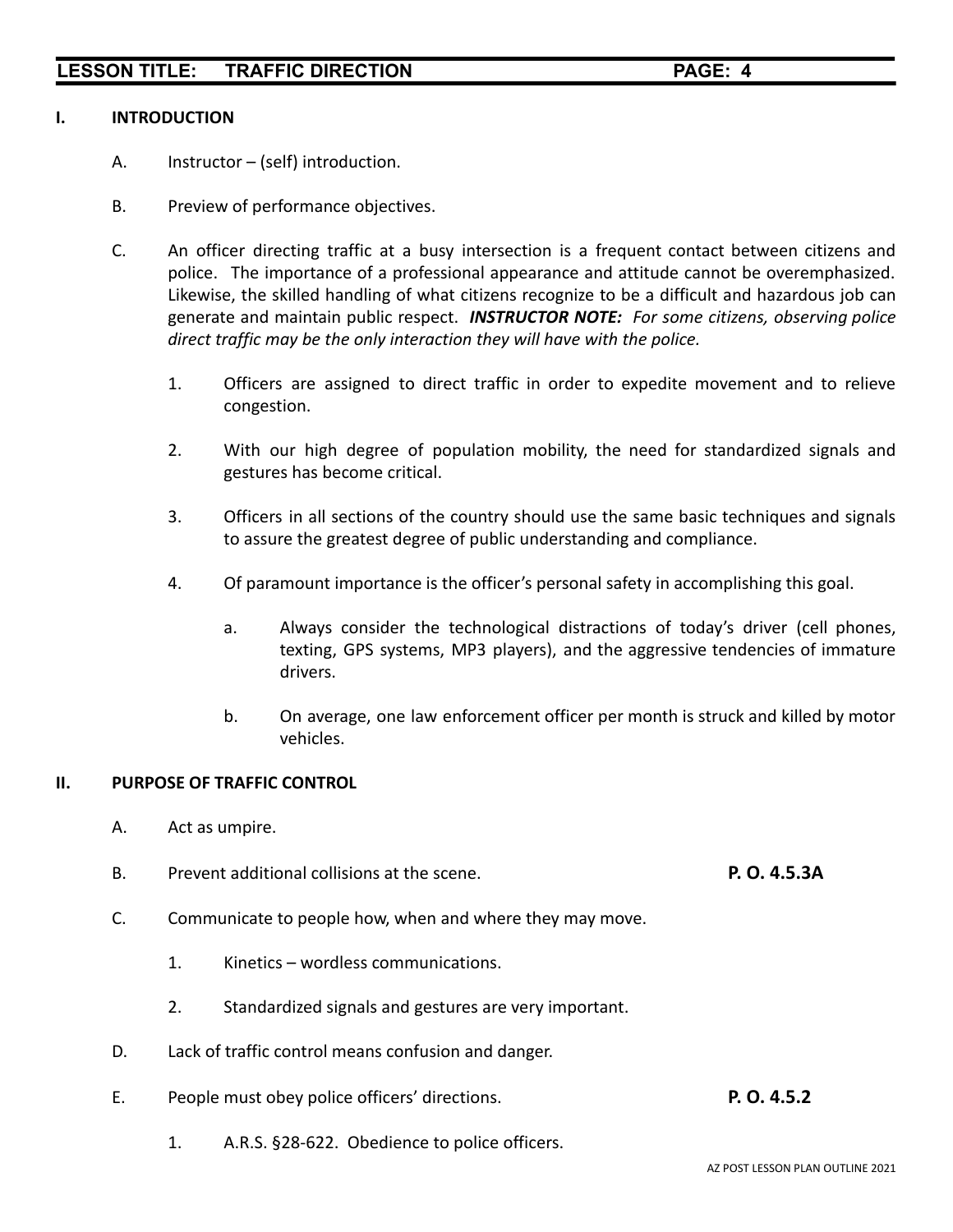#### **I. INTRODUCTION**

- A. Instructor (self) introduction.
- B. Preview of performance objectives.
- C. An officer directing traffic at a busy intersection is a frequent contact between citizens and police. The importance of a professional appearance and attitude cannot be overemphasized. Likewise, the skilled handling of what citizens recognize to be a difficult and hazardous job can generate and maintain public respect. *INSTRUCTOR NOTE: For some citizens, observing police direct traffic may be the only interaction they will have with the police.*
	- 1. Officers are assigned to direct traffic in order to expedite movement and to relieve congestion.
	- 2. With our high degree of population mobility, the need for standardized signals and gestures has become critical.
	- 3. Officers in all sections of the country should use the same basic techniques and signals to assure the greatest degree of public understanding and compliance.
	- 4. Of paramount importance is the officer's personal safety in accomplishing this goal.
		- a. Always consider the technological distractions of today's driver (cell phones, texting, GPS systems, MP3 players), and the aggressive tendencies of immature drivers.
		- b. On average, one law enforcement officer per month is struck and killed by motor vehicles.

#### **II. PURPOSE OF TRAFFIC CONTROL**

- A. Act as umpire.
- B. Prevent additional collisions at the scene. **P. O. 4.5.3A**
- C. Communicate to people how, when and where they may move.
	- 1. Kinetics wordless communications.
	- 2. Standardized signals and gestures are very important.
- D. Lack of traffic control means confusion and danger.
- E. People must obey police officers' directions. **P. O. 4.5.2**
	- 1. A.R.S. §28-622. Obedience to police officers.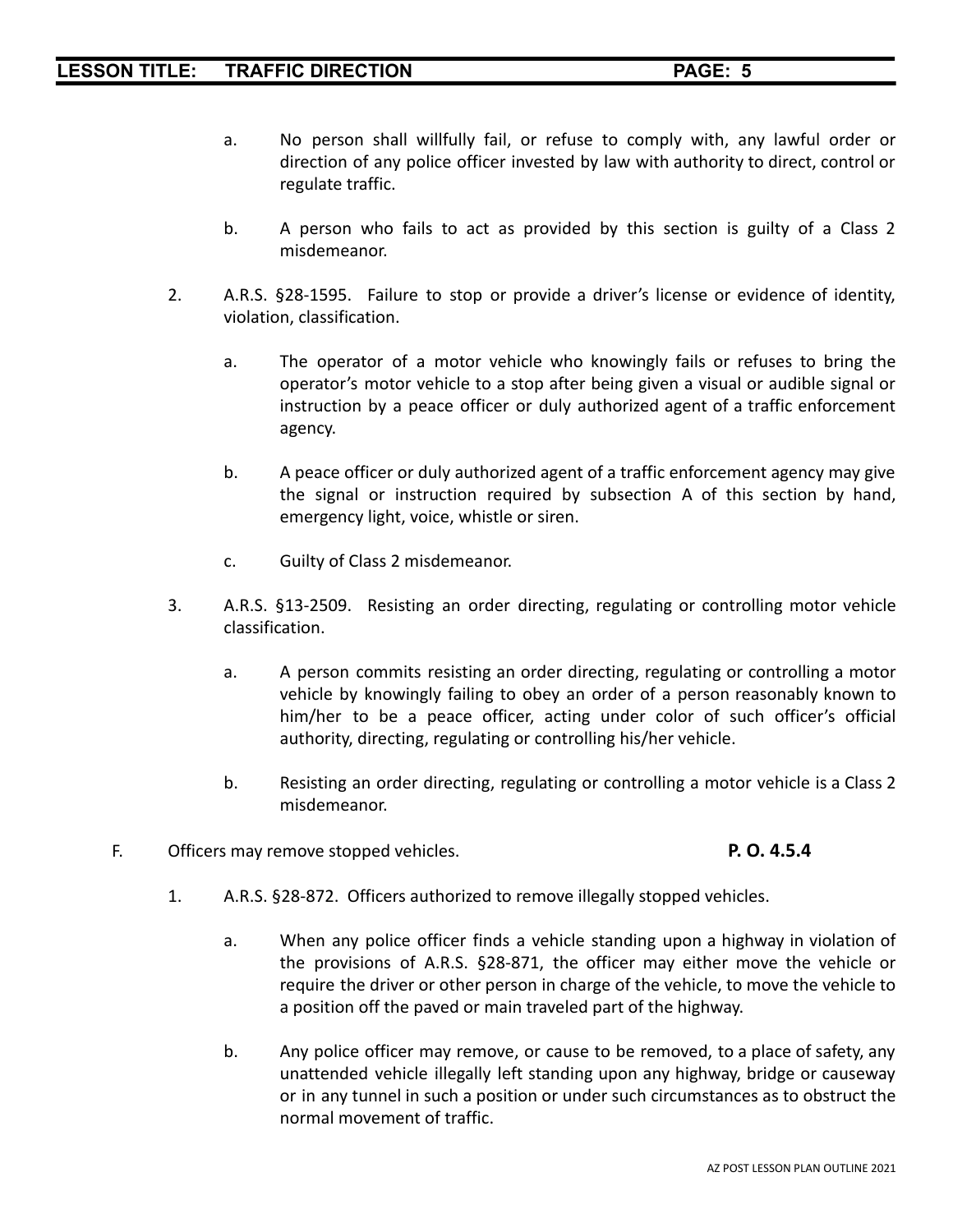- a. No person shall willfully fail, or refuse to comply with, any lawful order or direction of any police officer invested by law with authority to direct, control or regulate traffic.
- b. A person who fails to act as provided by this section is guilty of a Class 2 misdemeanor.
- 2. A.R.S. §28-1595. Failure to stop or provide a driver's license or evidence of identity, violation, classification.
	- a. The operator of a motor vehicle who knowingly fails or refuses to bring the operator's motor vehicle to a stop after being given a visual or audible signal or instruction by a peace officer or duly authorized agent of a traffic enforcement agency.
	- b. A peace officer or duly authorized agent of a traffic enforcement agency may give the signal or instruction required by subsection A of this section by hand, emergency light, voice, whistle or siren.
	- c. Guilty of Class 2 misdemeanor.
- 3. A.R.S. §13-2509. Resisting an order directing, regulating or controlling motor vehicle classification.
	- a. A person commits resisting an order directing, regulating or controlling a motor vehicle by knowingly failing to obey an order of a person reasonably known to him/her to be a peace officer, acting under color of such officer's official authority, directing, regulating or controlling his/her vehicle.
	- b. Resisting an order directing, regulating or controlling a motor vehicle is a Class 2 misdemeanor.
- F. Officers may remove stopped vehicles. **P. O. 4.5.4**

- 1. A.R.S. §28-872. Officers authorized to remove illegally stopped vehicles.
	- a. When any police officer finds a vehicle standing upon a highway in violation of the provisions of A.R.S. §28-871, the officer may either move the vehicle or require the driver or other person in charge of the vehicle, to move the vehicle to a position off the paved or main traveled part of the highway.
	- b. Any police officer may remove, or cause to be removed, to a place of safety, any unattended vehicle illegally left standing upon any highway, bridge or causeway or in any tunnel in such a position or under such circumstances as to obstruct the normal movement of traffic.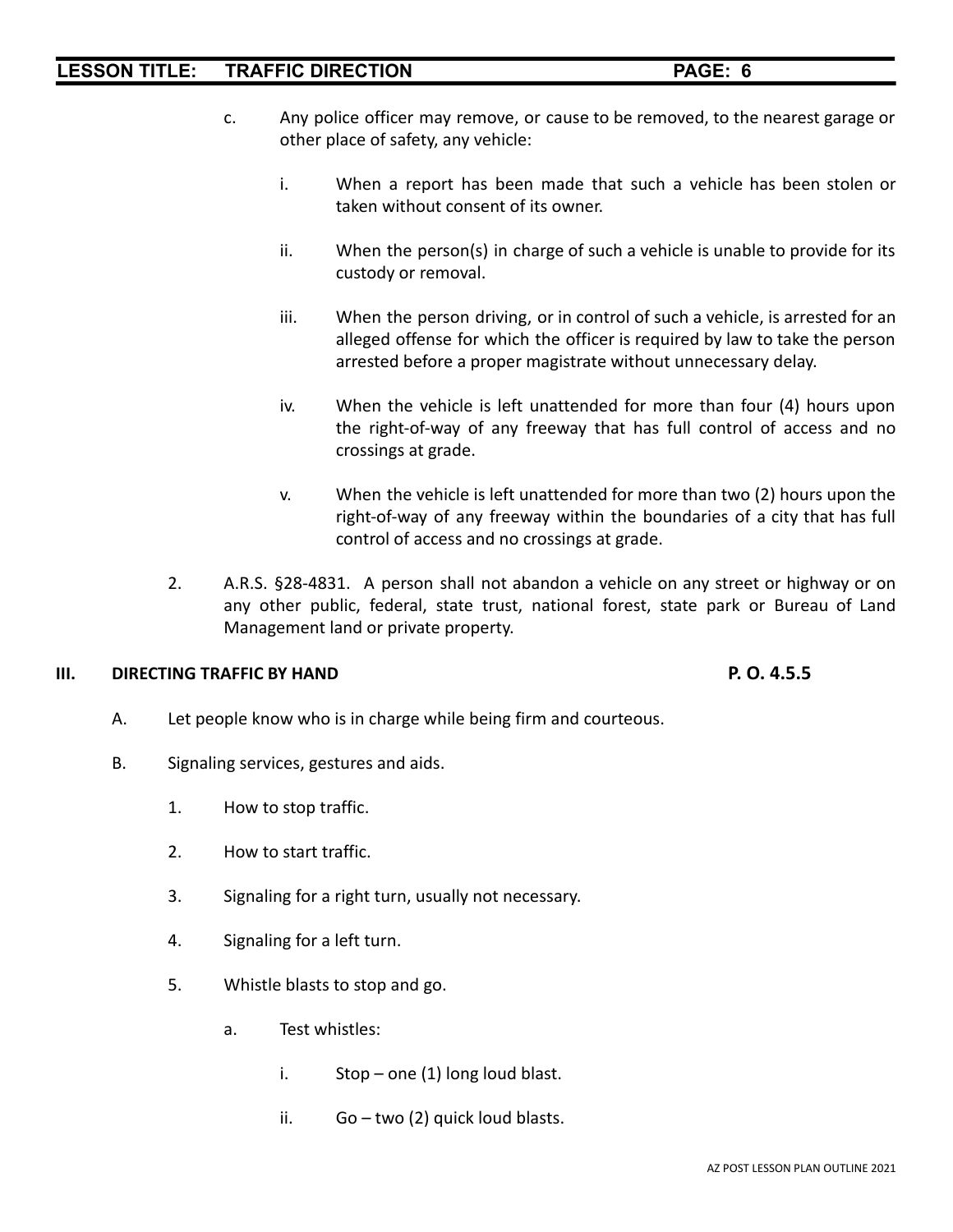- c. Any police officer may remove, or cause to be removed, to the nearest garage or other place of safety, any vehicle:
	- i. When a report has been made that such a vehicle has been stolen or taken without consent of its owner.
	- ii. When the person(s) in charge of such a vehicle is unable to provide for its custody or removal.
	- iii. When the person driving, or in control of such a vehicle, is arrested for an alleged offense for which the officer is required by law to take the person arrested before a proper magistrate without unnecessary delay.
	- iv. When the vehicle is left unattended for more than four (4) hours upon the right-of-way of any freeway that has full control of access and no crossings at grade.
	- v. When the vehicle is left unattended for more than two (2) hours upon the right-of-way of any freeway within the boundaries of a city that has full control of access and no crossings at grade.
- 2. A.R.S. §28-4831. A person shall not abandon a vehicle on any street or highway or on any other public, federal, state trust, national forest, state park or Bureau of Land Management land or private property.

#### **III. DIRECTING TRAFFIC BY HAND P. O. 4.5.5**

- A. Let people know who is in charge while being firm and courteous.
- B. Signaling services, gestures and aids.
	- 1. How to stop traffic.
	- 2. How to start traffic.
	- 3. Signaling for a right turn, usually not necessary.
	- 4. Signaling for a left turn.
	- 5. Whistle blasts to stop and go.
		- a. Test whistles:
			- i. Stop one  $(1)$  long loud blast.
			- ii. Go two (2) quick loud blasts.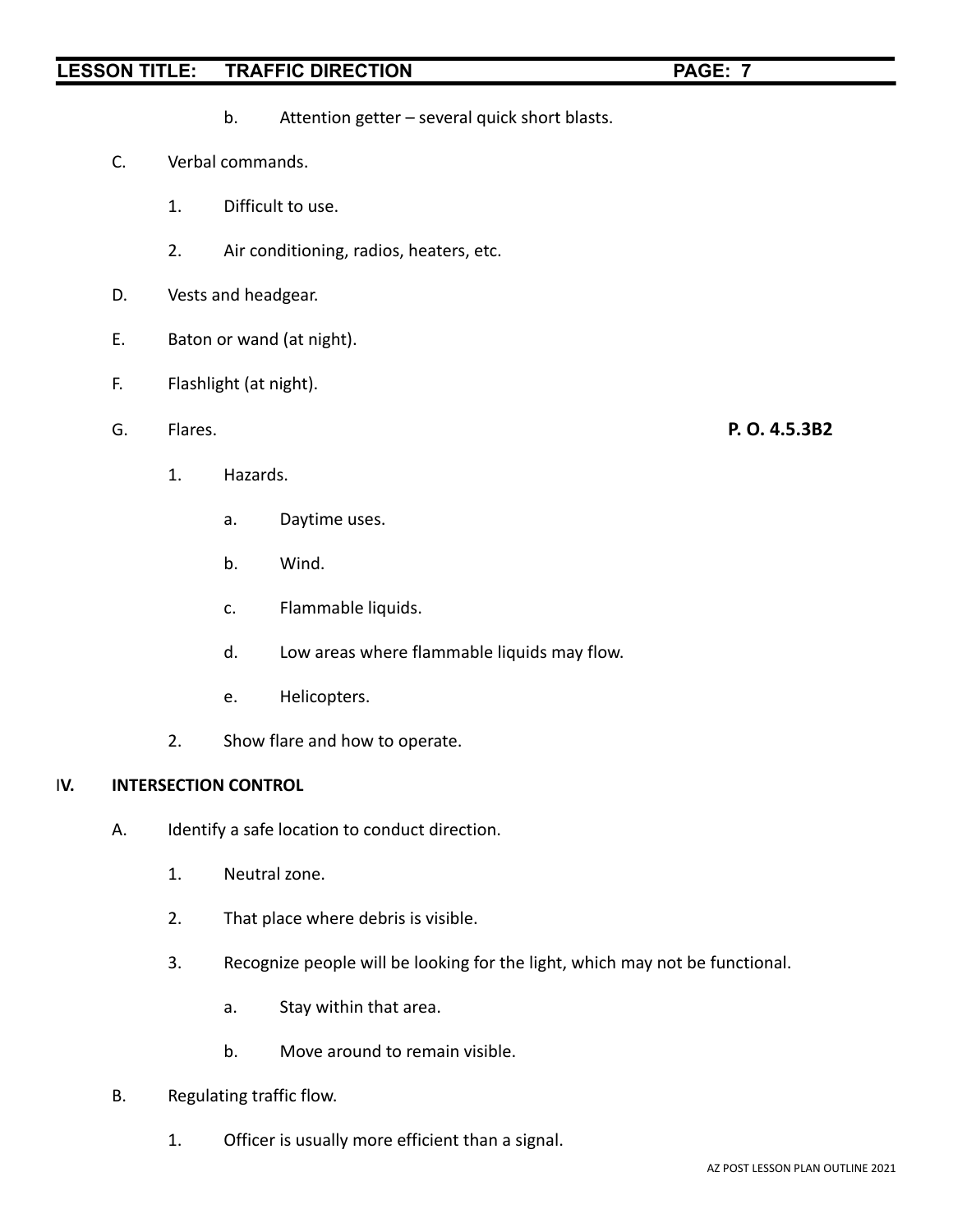- b. Attention getter several quick short blasts.
- C. Verbal commands.
	- 1. Difficult to use.
	- 2. Air conditioning, radios, heaters, etc.
- D. Vests and headgear.
- E. Baton or wand (at night).
- F. Flashlight (at night).
- G. Flares. **P. O. 4.5.3B2**
	- 1. Hazards.
		- a. Daytime uses.
		- b. Wind.
		- c. Flammable liquids.
		- d. Low areas where flammable liquids may flow.
		- e. Helicopters.
	- 2. Show flare and how to operate.

#### I**V. INTERSECTION CONTROL**

- A. Identify a safe location to conduct direction.
	- 1. Neutral zone.
	- 2. That place where debris is visible.
	- 3. Recognize people will be looking for the light, which may not be functional.
		- a. Stay within that area.
		- b. Move around to remain visible.
- B. Regulating traffic flow.
	- 1. Officer is usually more efficient than a signal.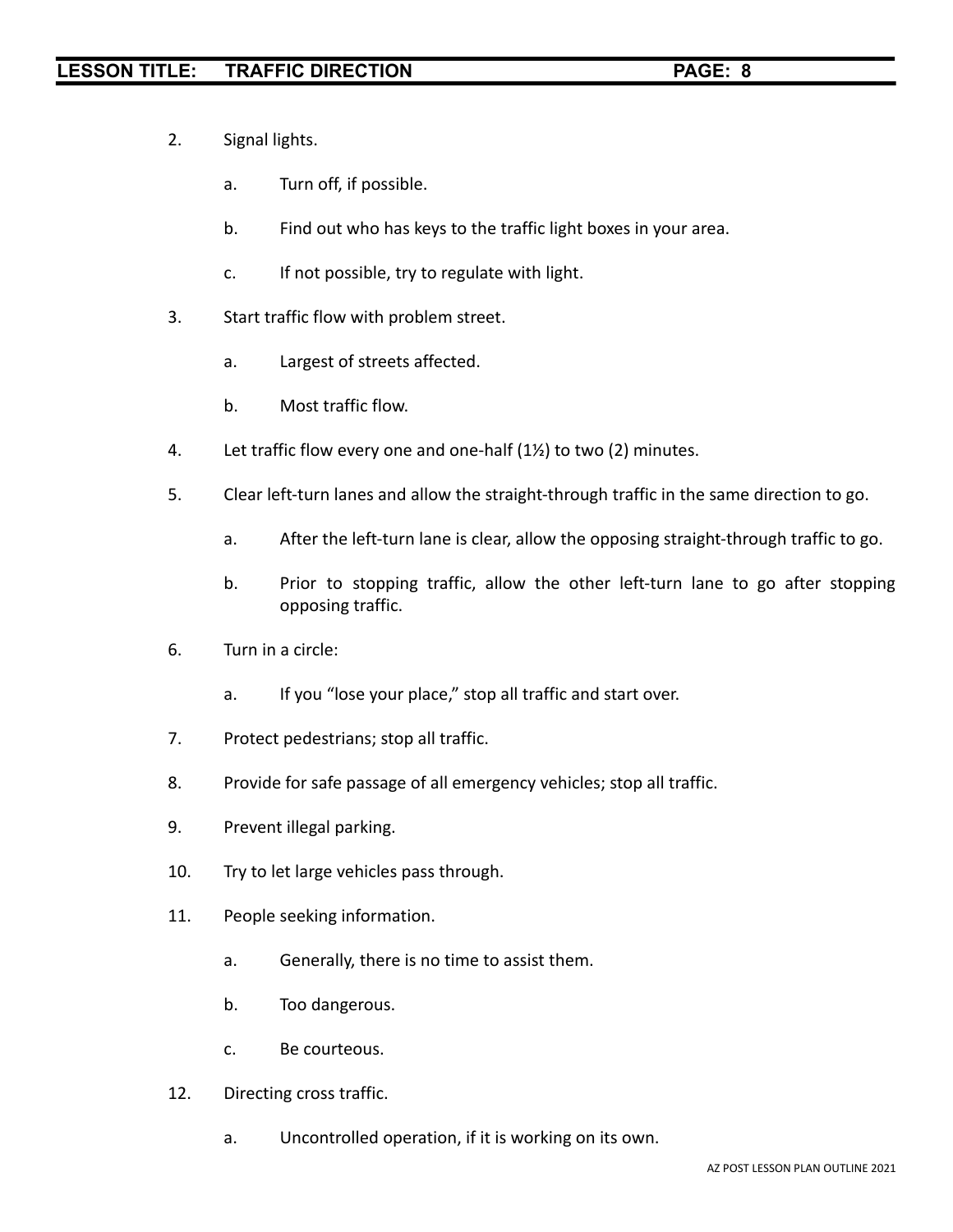- 2. Signal lights.
	- a. Turn off, if possible.
	- b. Find out who has keys to the traffic light boxes in your area.
	- c. If not possible, try to regulate with light.
- 3. Start traffic flow with problem street.
	- a. Largest of streets affected.
	- b. Most traffic flow.
- 4. Let traffic flow every one and one-half (1½) to two (2) minutes.
- 5. Clear left-turn lanes and allow the straight-through traffic in the same direction to go.
	- a. After the left-turn lane is clear, allow the opposing straight-through traffic to go.
	- b. Prior to stopping traffic, allow the other left-turn lane to go after stopping opposing traffic.
- 6. Turn in a circle:
	- a. If you "lose your place," stop all traffic and start over.
- 7. Protect pedestrians; stop all traffic.
- 8. Provide for safe passage of all emergency vehicles; stop all traffic.
- 9. Prevent illegal parking.
- 10. Try to let large vehicles pass through.
- 11. People seeking information.
	- a. Generally, there is no time to assist them.
	- b. Too dangerous.
	- c. Be courteous.
- 12. Directing cross traffic.
	- a. Uncontrolled operation, if it is working on its own.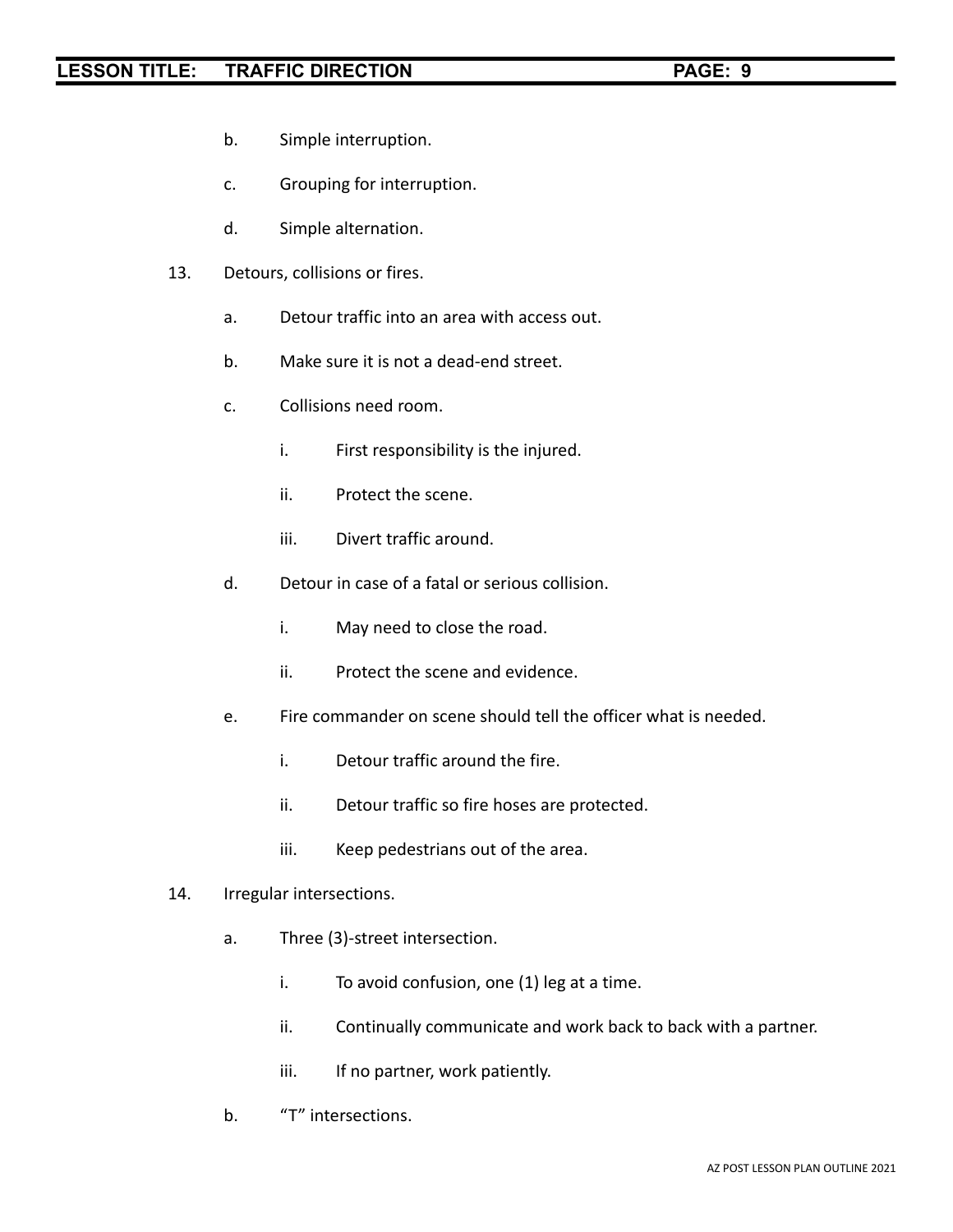- b. Simple interruption.
- c. Grouping for interruption.
- d. Simple alternation.
- 13. Detours, collisions or fires.
	- a. Detour traffic into an area with access out.
	- b. Make sure it is not a dead-end street.
	- c. Collisions need room.
		- i. First responsibility is the injured.
		- ii. Protect the scene.
		- iii. Divert traffic around.
	- d. Detour in case of a fatal or serious collision.
		- i. May need to close the road.
		- ii. Protect the scene and evidence.
	- e. Fire commander on scene should tell the officer what is needed.
		- i. Detour traffic around the fire.
		- ii. Detour traffic so fire hoses are protected.
		- iii. Keep pedestrians out of the area.
- 14. Irregular intersections.
	- a. Three (3)-street intersection.
		- i. To avoid confusion, one (1) leg at a time.
		- ii. Continually communicate and work back to back with a partner.
		- iii. If no partner, work patiently.
	- b. "T" intersections.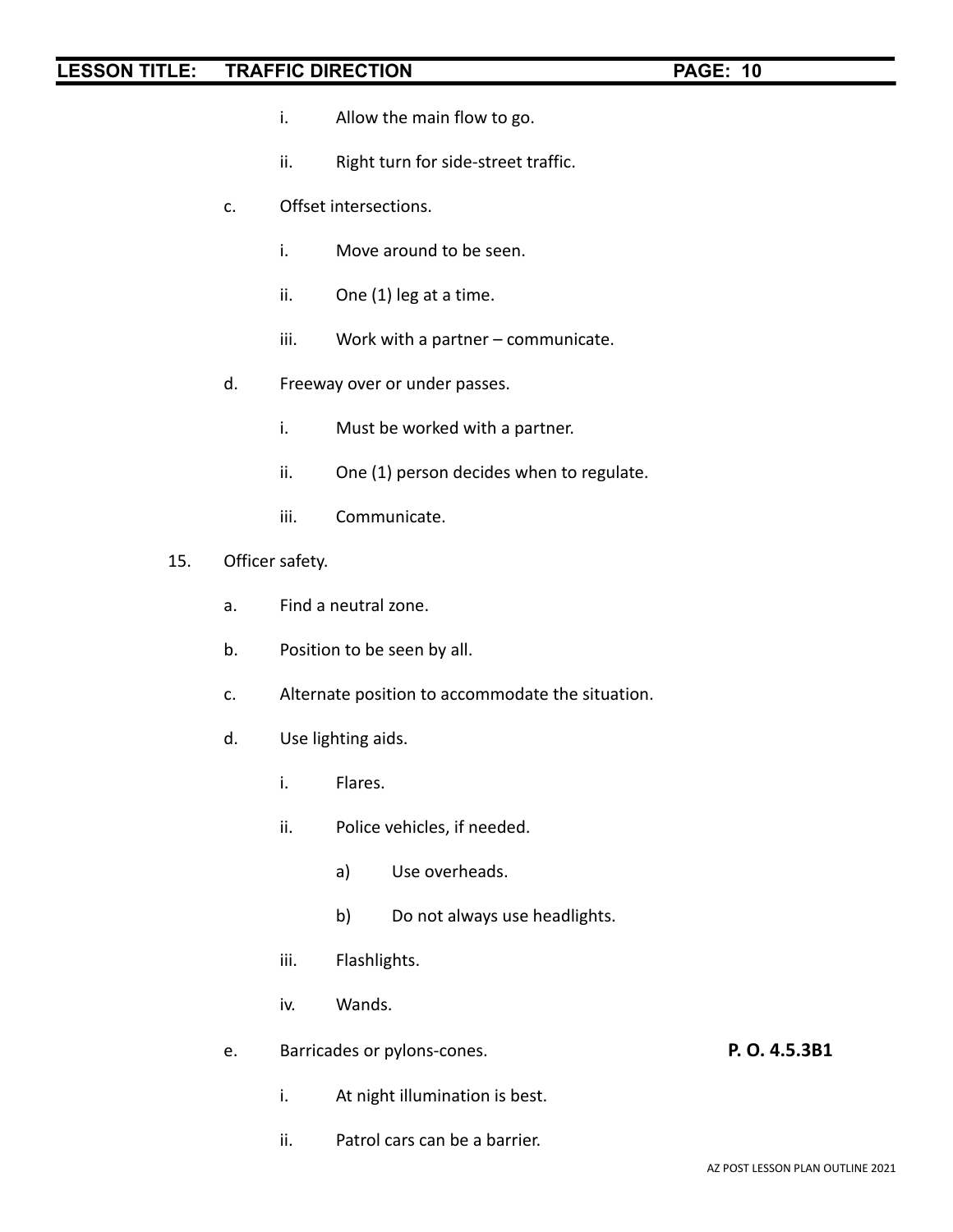- i. Allow the main flow to go.
- ii. Right turn for side-street traffic.
- c. Offset intersections.
	- i. Move around to be seen.
	- ii. One (1) leg at a time.
	- iii. Work with a partner communicate.
- d. Freeway over or under passes.
	- i. Must be worked with a partner.
	- ii. One (1) person decides when to regulate.
	- iii. Communicate.
- 15. Officer safety.
	- a. Find a neutral zone.
	- b. Position to be seen by all.
	- c. Alternate position to accommodate the situation.
	- d. Use lighting aids.
		- i. Flares.
		- ii. Police vehicles, if needed.
			- a) Use overheads.
			- b) Do not always use headlights.
		- iii. Flashlights.
		- iv. Wands.
	- e. Barricades or pylons-cones. **P. O. 4.5.3B1**
		- i. At night illumination is best.
		- ii. Patrol cars can be a barrier.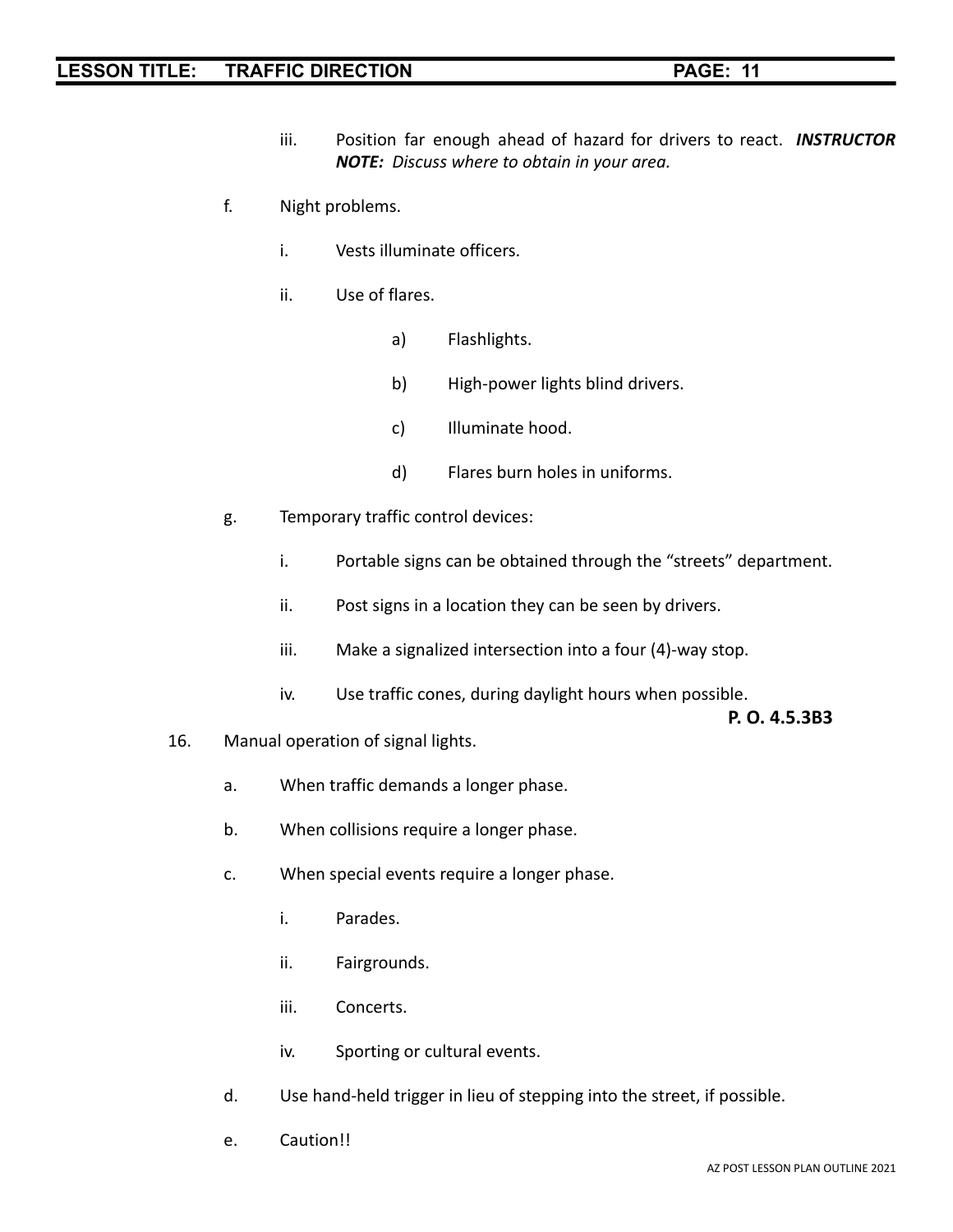- iii. Position far enough ahead of hazard for drivers to react. *INSTRUCTOR NOTE: Discuss where to obtain in your area.*
- f. Night problems.
	- i. Vests illuminate officers.
	- ii. Use of flares.
		- a) Flashlights.
		- b) High-power lights blind drivers.
		- c) Illuminate hood.
		- d) Flares burn holes in uniforms.
- g. Temporary traffic control devices:
	- i. Portable signs can be obtained through the "streets" department.
	- ii. Post signs in a location they can be seen by drivers.
	- iii. Make a signalized intersection into a four (4)-way stop.
	- iv. Use traffic cones, during daylight hours when possible.

**P. O. 4.5.3B3**

- 16. Manual operation of signal lights.
	- a. When traffic demands a longer phase.
	- b. When collisions require a longer phase.
	- c. When special events require a longer phase.
		- i. Parades.
		- ii. Fairgrounds.
		- iii. Concerts.
		- iv. Sporting or cultural events.
	- d. Use hand-held trigger in lieu of stepping into the street, if possible.
	- e. Caution!!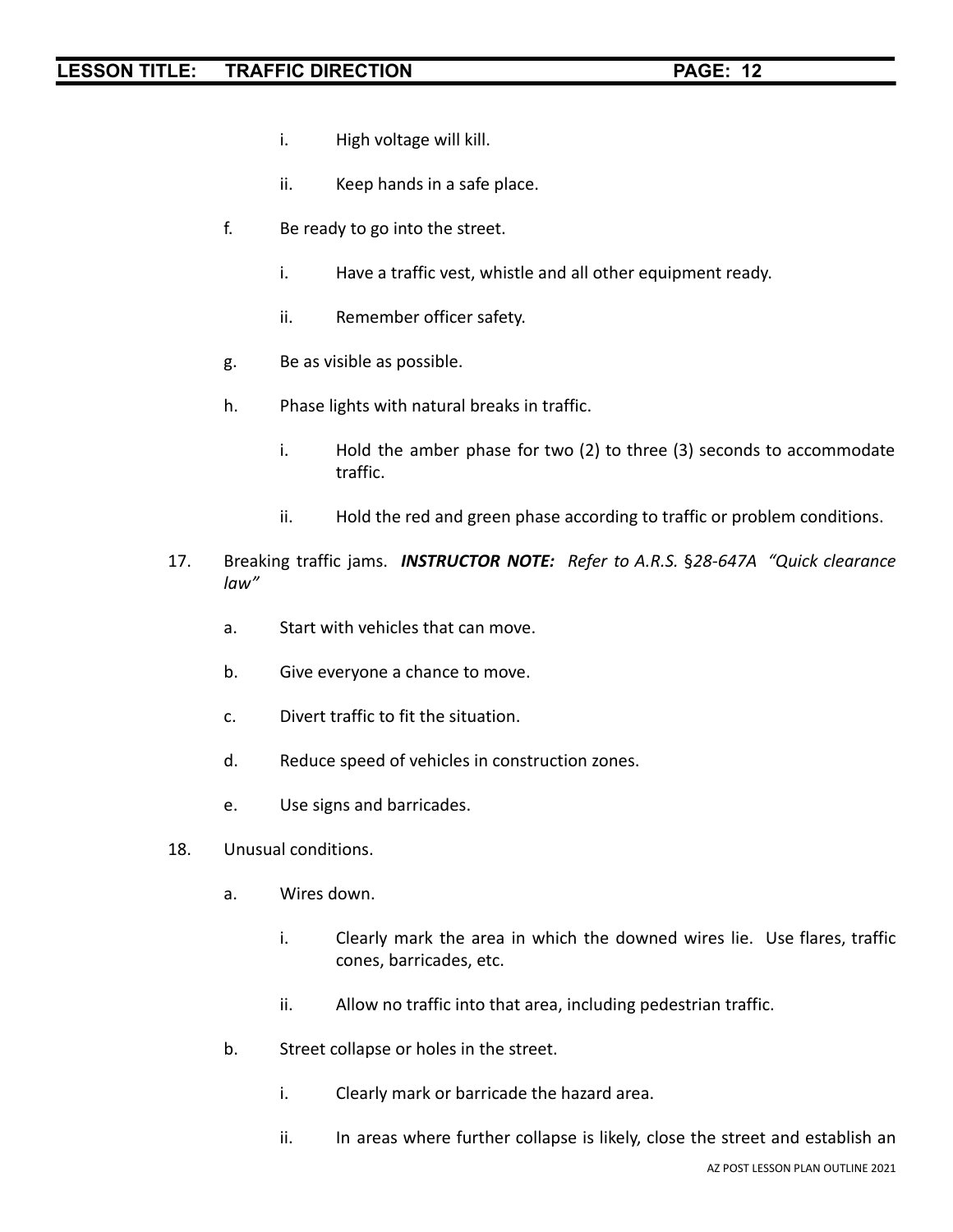- i. High voltage will kill.
- ii. Keep hands in a safe place.
- f. Be ready to go into the street.
	- i. Have a traffic vest, whistle and all other equipment ready.
	- ii. Remember officer safety.
- g. Be as visible as possible.
- h. Phase lights with natural breaks in traffic.
	- i. Hold the amber phase for two (2) to three (3) seconds to accommodate traffic.
	- ii. Hold the red and green phase according to traffic or problem conditions.
- 17. Breaking traffic jams. *INSTRUCTOR NOTE: Refer to A.R.S.* §*28-647A "Quick clearance law"*
	- a. Start with vehicles that can move.
	- b. Give everyone a chance to move.
	- c. Divert traffic to fit the situation.
	- d. Reduce speed of vehicles in construction zones.
	- e. Use signs and barricades.
- 18. Unusual conditions.
	- a. Wires down.
		- i. Clearly mark the area in which the downed wires lie. Use flares, traffic cones, barricades, etc.
		- ii. Allow no traffic into that area, including pedestrian traffic.
	- b. Street collapse or holes in the street.
		- i. Clearly mark or barricade the hazard area.
		- ii. In areas where further collapse is likely, close the street and establish an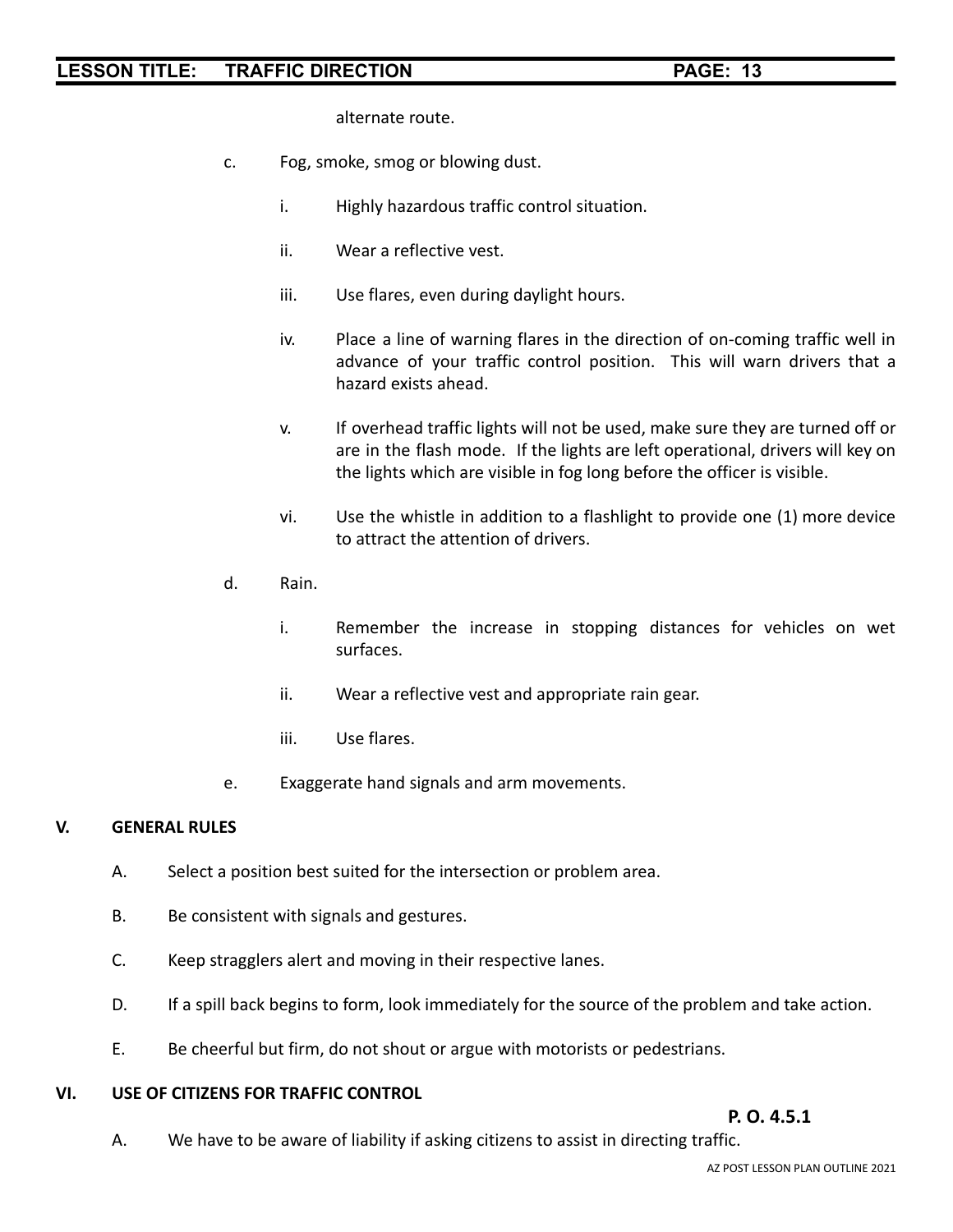alternate route.

- c. Fog, smoke, smog or blowing dust.
	- i. Highly hazardous traffic control situation.
	- ii. Wear a reflective vest.
	- iii. Use flares, even during daylight hours.
	- iv. Place a line of warning flares in the direction of on-coming traffic well in advance of your traffic control position. This will warn drivers that a hazard exists ahead.
	- v. If overhead traffic lights will not be used, make sure they are turned off or are in the flash mode. If the lights are left operational, drivers will key on the lights which are visible in fog long before the officer is visible.
	- vi. Use the whistle in addition to a flashlight to provide one (1) more device to attract the attention of drivers.
- d. Rain.
	- i. Remember the increase in stopping distances for vehicles on wet surfaces.
	- ii. Wear a reflective vest and appropriate rain gear.
	- iii. Use flares.
- e. Exaggerate hand signals and arm movements.

#### **V. GENERAL RULES**

- A. Select a position best suited for the intersection or problem area.
- B. Be consistent with signals and gestures.
- C. Keep stragglers alert and moving in their respective lanes.
- D. If a spill back begins to form, look immediately for the source of the problem and take action.
- E. Be cheerful but firm, do not shout or argue with motorists or pedestrians.

#### **VI. USE OF CITIZENS FOR TRAFFIC CONTROL**

#### **P. O. 4.5.1**

A. We have to be aware of liability if asking citizens to assist in directing traffic.